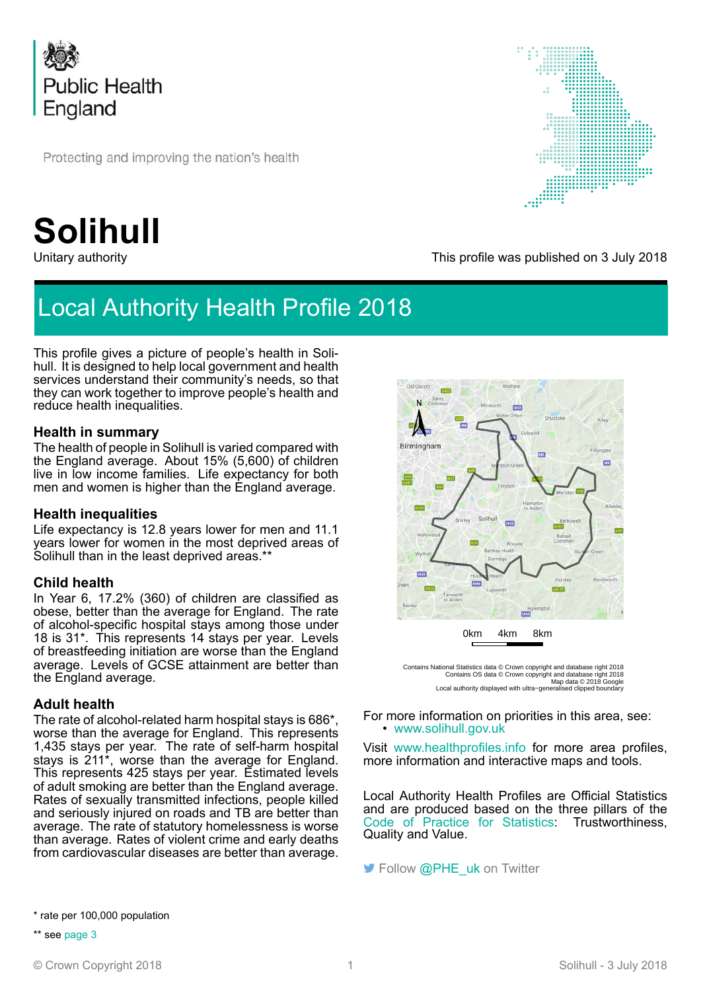

Protecting and improving the nation's health

# **Solihull**

# Local Authority Health Profile 2018

This profile gives a picture of people's health in Solihull. It is designed to help local government and health services understand their community's needs, so that they can work together to improve people's health and reduce health inequalities.

### **Health in summary**

The health of people in Solihull is varied compared with the England average. About 15% (5,600) of children live in low income families. Life expectancy for both men and women is higher than the England average.

#### **Health inequalities**

Life expectancy is 12.8 years lower for men and 11.1 years lower for women in the most deprived areas of Solihull than in the least deprived areas.\*\*

### **Child health**

In Year 6, 17.2% (360) of children are classified as obese, better than the average for England. The rate of alcohol-specific hospital stays among those under 18 is 31\*. This represents 14 stays per year. Levels of breastfeeding initiation are worse than the England average. Levels of GCSE attainment are better than the England average.

### **Adult health**

The rate of alcohol-related harm hospital stays is 686\*, worse than the average for England. This represents 1,435 stays per year. The rate of self-harm hospital stays is 211\*, worse than the average for England. This represents 425 stays per year. Estimated levels of adult smoking are better than the England average. Rates of sexually transmitted infections, people killed and seriously injured on roads and TB are better than average. The rate of statutory homelessness is worse than average. Rates of violent crime and early deaths from cardiovascular diseases are better than average.



This profile was published on 3 July 2018



Contains National Statistics data © Crown copyright and database right 2018<br>Contains OS data © Crown copyright and database right 2018<br>Map data © 2018 Google<br>Local authority displayed with ultra–generalised clipped bounda

For more information on priorities in this area, see: • [www.solihull.gov.uk](http://www.solihull.gov.uk)

Visit [www.healthprofiles.info](http://www.healthprofiles.info) for more area profiles, more information and interactive maps and tools.

Local Authority Health Profiles are Official Statistics and are produced based on the three pillars of the [Code of Practice for Statistics:](https://www.statisticsauthority.gov.uk/code-of-practice/the-code/) Trustworthiness, Quality and Value.

Follow [@PHE\\_uk](http://www.twitter.com/PHE_uk) on Twitter

\* rate per 100,000 population

\*\* see [page 3](#page-2-0)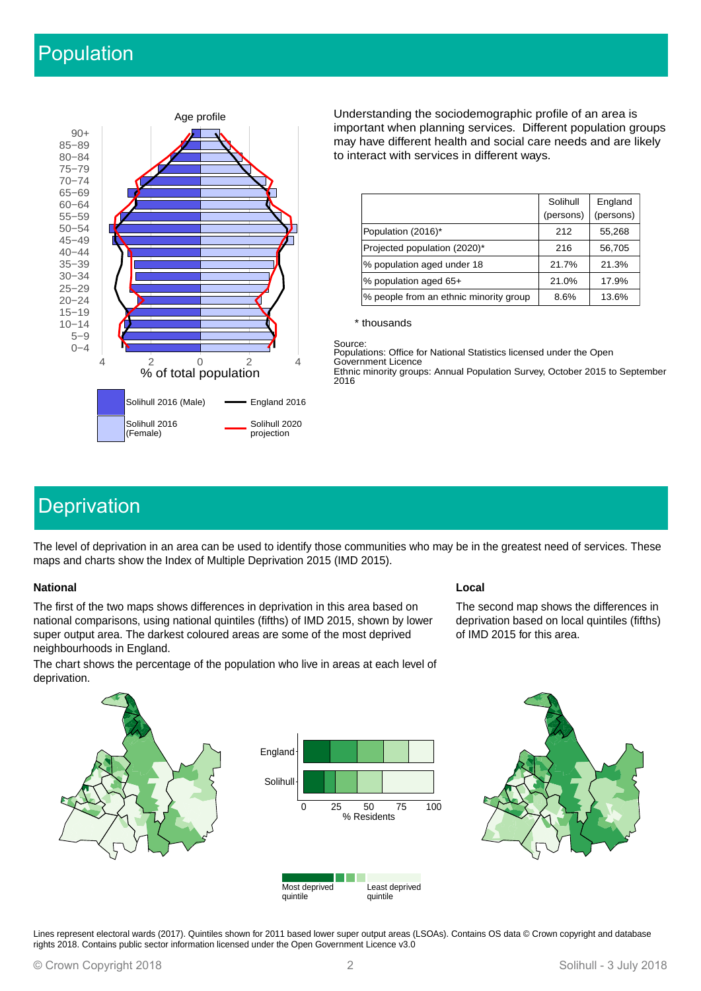# Population



Understanding the sociodemographic profile of an area is important when planning services. Different population groups may have different health and social care needs and are likely to interact with services in different ways.

|                                        | Solihull<br>(persons) | England<br>(persons) |
|----------------------------------------|-----------------------|----------------------|
| Population (2016)*                     | 212                   | 55,268               |
| Projected population (2020)*           | 216                   | 56,705               |
| % population aged under 18             | 21.7%                 | 21.3%                |
| % population aged 65+                  | 21.0%                 | 17.9%                |
| % people from an ethnic minority group | 8.6%                  | 13.6%                |

\* thousands

Source: Populations: Office for National Statistics licensed under the Open Government Licence Ethnic minority groups: Annual Population Survey, October 2015 to September 2016

# **Deprivation**

The level of deprivation in an area can be used to identify those communities who may be in the greatest need of services. These maps and charts show the Index of Multiple Deprivation 2015 (IMD 2015).

#### **National Local**

The first of the two maps shows differences in deprivation in this area based on national comparisons, using national quintiles (fifths) of IMD 2015, shown by lower super output area. The darkest coloured areas are some of the most deprived neighbourhoods in England.

The chart shows the percentage of the population who live in areas at each level of deprivation.

The second map shows the differences in deprivation based on local quintiles (fifths) of IMD 2015 for this area.





Lines represent electoral wards (2017). Quintiles shown for 2011 based lower super output areas (LSOAs). Contains OS data © Crown copyright and database rights 2018. Contains public sector information licensed under the Open Government Licence v3.0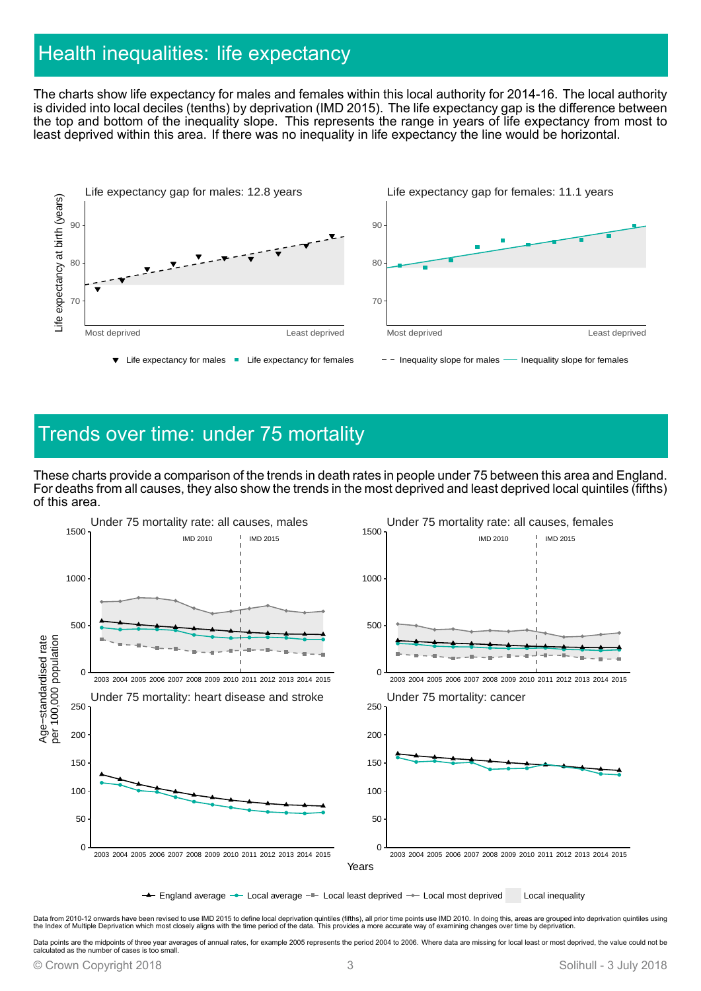## <span id="page-2-0"></span>Health inequalities: life expectancy

The charts show life expectancy for males and females within this local authority for 2014-16. The local authority is divided into local deciles (tenths) by deprivation (IMD 2015). The life expectancy gap is the difference between the top and bottom of the inequality slope. This represents the range in years of life expectancy from most to least deprived within this area. If there was no inequality in life expectancy the line would be horizontal.



### Trends over time: under 75 mortality

These charts provide a comparison of the trends in death rates in people under 75 between this area and England. For deaths from all causes, they also show the trends in the most deprived and least deprived local quintiles (fifths) of this area.



 $\leftarrow$  England average  $\rightarrow$  Local average  $\rightarrow$  Local least deprived  $\rightarrow$  Local most deprived Local inequality

Data from 2010-12 onwards have been revised to use IMD 2015 to define local deprivation quintiles (fifths), all prior time points use IMD 2010. In doing this, areas are grouped into deprivation quintiles using<br>the Index of

Data points are the midpoints of three year averages of annual rates, for example 2005 represents the period 2004 to 2006. Where data are missing for local least or most deprived, the value could not be calculated as the number of cases is too small.